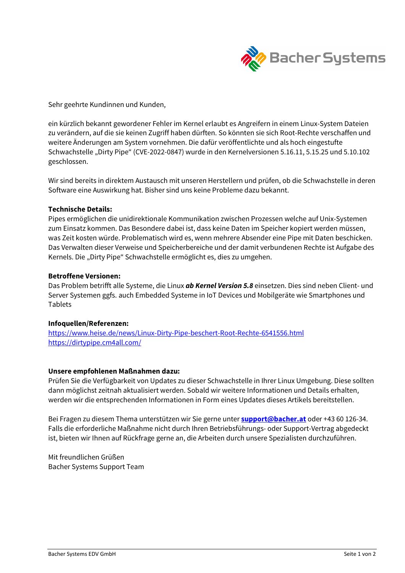

Sehr geehrte Kundinnen und Kunden,

ein kürzlich bekannt gewordener Fehler im Kernel erlaubt es Angreifern in einem Linux-System Dateien zu verändern, auf die sie keinen Zugriff haben dürften. So könnten sie sich Root-Rechte verschaffen und weitere Änderungen am System vornehmen. Die dafür veröffentlichte und als hoch eingestufte Schwachstelle "Dirty Pipe" (CVE-2022-0847) wurde in den Kernelversionen 5.16.11, 5.15.25 und 5.10.102 geschlossen.

Wir sind bereits in direktem Austausch mit unseren Herstellern und prüfen, ob die Schwachstelle in deren Software eine Auswirkung hat. Bisher sind uns keine Probleme dazu bekannt.

### Technische Details:

Pipes ermöglichen die unidirektionale Kommunikation zwischen Prozessen welche auf Unix-Systemen zum Einsatz kommen. Das Besondere dabei ist, dass keine Daten im Speicher kopiert werden müssen, was Zeit kosten würde. Problematisch wird es, wenn mehrere Absender eine Pipe mit Daten beschicken. Das Verwalten dieser Verweise und Speicherbereiche und der damit verbundenen Rechte ist Aufgabe des Kernels. Die "Dirty Pipe" Schwachstelle ermöglicht es, dies zu umgehen.

# Betroffene Versionen:

Das Problem betrifft alle Systeme, die Linux **ab Kernel Version 5.8** einsetzen. Dies sind neben Client- und Server Systemen ggfs. auch Embedded Systeme in IoT Devices und Mobilgeräte wie Smartphones und Tablets

### Infoquellen/Referenzen:

https://www.heise.de/news/Linux-Dirty-Pipe-beschert-Root-Rechte-6541556.html https://dirtypipe.cm4all.com/

### Unsere empfohlenen Maßnahmen dazu:

Prüfen Sie die Verfügbarkeit von Updates zu dieser Schwachstelle in Ihrer Linux Umgebung. Diese sollten dann möglichst zeitnah aktualisiert werden. Sobald wir weitere Informationen und Details erhalten, werden wir die entsprechenden Informationen in Form eines Updates dieses Artikels bereitstellen.

Bei Fragen zu diesem Thema unterstützen wir Sie gerne unter **support@bacher.at** oder +43 60 126-34. Falls die erforderliche Maßnahme nicht durch Ihren Betriebsführungs- oder Support-Vertrag abgedeckt ist, bieten wir Ihnen auf Rückfrage gerne an, die Arbeiten durch unsere Spezialisten durchzuführen.

Mit freundlichen Grüßen Bacher Systems Support Team